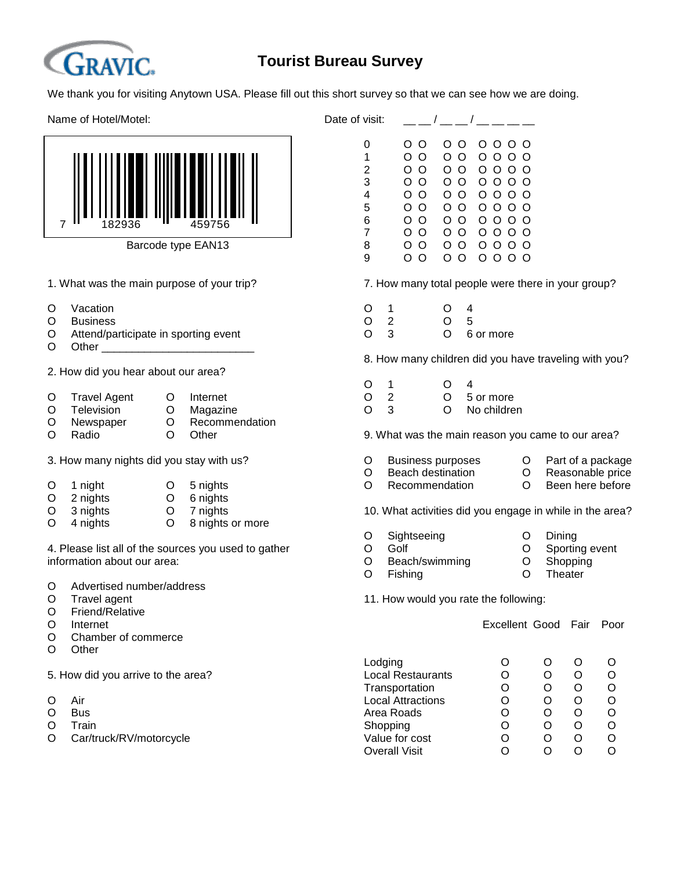

## **Tourist Bureau Survey**

We thank you for visiting Anytown USA. Please fill out this short survey so that we can see how we are doing.

Name of Hotel/Motel:  $\Box$  Date of visiting  $\Box$ 



Barcode type EAN13

- 
- O Business
- O Attend/participate in sporting event C 3 O 6 or more
- O Other

2. How did you hear about our area?

| O Travel Agent | . O Internet     |            | $\Omega$ 2 | O 5 or more  |
|----------------|------------------|------------|------------|--------------|
| O Television   | O Magazine       | $\Omega$ 3 |            | O No childre |
| O Newspaper    | O Recommendation |            |            |              |

| O      | 1 night         | O 5 nights |  |
|--------|-----------------|------------|--|
| $\cap$ | $\Omega$ nights | C nighto   |  |

- O 2 nights O 6 nights
- O 4 nights O 8 nights or more

4. Please list all of the sources you used to gather **O** Golf **O** Sporting event information about our area:  $O$  Beach/swimming  $O$  Shopping

- O Advertised number/address
- 
- O Friend/Relative
- 
- O Chamber of commerce
- O Other

- 
- 
- 
- O Car/truck/RV/motorcycle

| f visit:       |        |         |                   |
|----------------|--------|---------|-------------------|
| 0              | O O    | റ റ     | 0 0 0 0           |
| 1              | οо     | O.<br>O | 0000              |
| $\overline{2}$ | οо     | Ω<br>റ  | 0 0 0 0           |
| 3              | റ റ    | റ റ     | 0000              |
| 4              | ი ი    | ი ი     | 0 0 0 0           |
| 5              | ი ი    | റ റ     | 0 0 0 0           |
| 6              | ი ი    | റ റ     | 0 0 0 0           |
| 7              | ი ი    | റ റ     | 0 0 0 0           |
| 8              | ი ი    | റ റ     | 0 0 0 0           |
| 9              | ∩<br>∩ | O<br>∩  | 0 0 0<br>$\Omega$ |
|                |        |         |                   |

1. What was the main purpose of your trip? 7. How many total people were there in your group?

| O Vacation                                  |  | $\bigcap$ 4                                   |  |
|---------------------------------------------|--|-----------------------------------------------|--|
| O Business                                  |  | $\begin{array}{ccc} 0 & 2 & \end{array}$ (1 5 |  |
| $\cap$ Attend/narticinate in snorting event |  | $\bigcap$ 3 $\bigcap$ 6.01 mm                 |  |

8. How many children did you have traveling with you?

| $\circ$ | $O \quad 4$ |  |
|---------|-------------|--|
|         |             |  |

- 
- O 3 O No children

O Radio O Other 9. What was the main reason you came to our area?

- 3. How many nights did you stay with us? O Business purposes O Part of a package
	- O Beach destination O Reasonable price<br>
	O Recommendation O Been here before
	- O Recommendation O

O 3 nights O 7 nights 10. What activities did you engage in while in the area?

- O Sightseeing O Dining
- -
- O Fishing **O** Theater

O Travel agent 11. How would you rate the following:

O Internet **Excellent Good Fair Poor** 

|                                    | Lodging                  |   |  |   |
|------------------------------------|--------------------------|---|--|---|
| 5. How did you arrive to the area? | Local Restaurants        | O |  |   |
|                                    | Transportation           | Ő |  | O |
| O<br>Air                           | <b>Local Attractions</b> |   |  |   |
| O<br><b>Bus</b>                    | Area Roads               | Ő |  |   |
| O<br>Train                         | Shopping                 | Ő |  | Ω |
| Car/truck/RV/motorcycle<br>O       | Value for cost           | O |  |   |
|                                    | Overall Visit            |   |  |   |